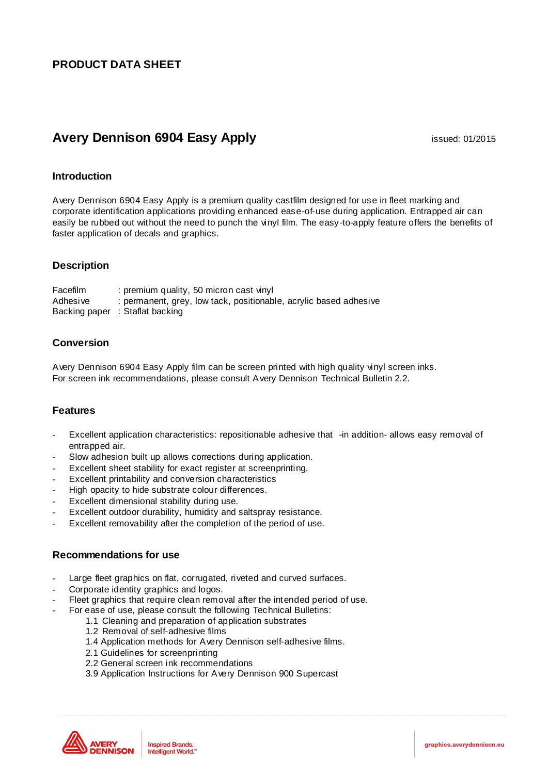## **PRODUCT DATA SHEET**

# **Avery Dennison 6904 Easy Apply issued: 01/2015**

## **Introduction**

Avery Dennison 6904 Easy Apply is a premium quality castfilm designed for use in fleet marking and corporate identification applications providing enhanced ease-of-use during application. Entrapped air can easily be rubbed out without the need to punch the vinyl film. The easy -to-apply feature offers the benefits of faster application of decals and graphics.

## **Description**

Facefilm : premium quality, 50 micron cast vinyl Adhesive : permanent, grey, low tack, positionable, acrylic based adhesive Backing paper : Staflat backing

## **Conversion**

Avery Dennison 6904 Easy Apply film can be screen printed with high quality vinyl screen inks. For screen ink recommendations, please consult Avery Dennison Technical Bulletin 2.2.

## **Features**

- Excellent application characteristics: repositionable adhesive that -in addition- allows easy removal of entrapped air.
- Slow adhesion built up allows corrections during application.
- Excellent sheet stability for exact register at screenprinting.
- Excellent printability and conversion characteristics
- High opacity to hide substrate colour differences.
- Excellent dimensional stability during use.
- Excellent outdoor durability, humidity and saltspray resistance.
- Excellent removability after the completion of the period of use.

## **Recommendations for use**

- Large fleet graphics on flat, corrugated, riveted and curved surfaces.
- Corporate identity graphics and logos.
- Fleet graphics that require clean removal after the intended period of use.
	- For ease of use, please consult the following Technical Bulletins:
		- 1.1 Cleaning and preparation of application substrates
		- 1.2 Removal of self-adhesive films
		- 1.4 Application methods for Avery Dennison self-adhesive films.
		- 2.1 Guidelines for screenprinting
		- 2.2 General screen ink recommendations
		- 3.9 Application Instructions for Avery Dennison 900 Supercast